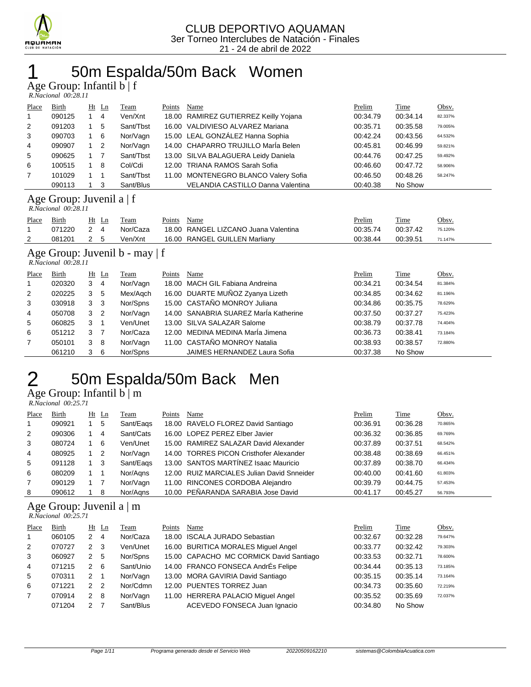

# 50m Espalda/50m Back Women

Age Group: Infantil b | f

| R.Nacional 00:28.11 |  |
|---------------------|--|
|---------------------|--|

| Place          | Birth                                                 |            | $Ht$ Ln | Team      | Points | Name                                  | Prelim   | Time     | Obsv.   |  |  |
|----------------|-------------------------------------------------------|------------|---------|-----------|--------|---------------------------------------|----------|----------|---------|--|--|
|                | 090125                                                |            | -4      | Ven/Xnt   |        | 18.00 RAMIREZ GUTIERREZ Keilly Yojana | 00:34.79 | 00:34.14 | 82.337% |  |  |
| 2              | 091203                                                |            | 5       | Sant/Tbst |        | 16.00 VALDIVIESO ALVAREZ Mariana      | 00:35.71 | 00:35.58 | 79.005% |  |  |
| 3              | 090703                                                |            | - 6     | Nor/Vagn  |        | 15.00 LEAL GONZÁLEZ Hanna Sophia      | 00:42.24 | 00:43.56 | 64.532% |  |  |
| $\overline{4}$ | 090907                                                | $1\quad 2$ |         | Nor/Vagn  |        | 14.00 CHAPARRO TRUJILLO Maria Belen   | 00:45.81 | 00:46.99 | 59.821% |  |  |
| 5              | 090625                                                |            |         | Sant/Tbst |        | 13.00 SILVA BALAGUERA Leidy Daniela   | 00:44.76 | 00:47.25 | 59.492% |  |  |
| 6              | 100515                                                |            | 8       | Col/Cdi   |        | 12.00 TRIANA RAMOS Sarah Sofia        | 00:46.60 | 00:47.72 | 58.906% |  |  |
| $\overline{7}$ | 101029                                                |            |         | Sant/Tbst |        | 11.00 MONTENEGRO BLANCO Valery Sofia  | 00:46.50 | 00:48.26 | 58.247% |  |  |
|                | 090113                                                |            | -3      | Sant/Blus |        | VELANDIA CASTILLO Danna Valentina     | 00:40.38 | No Show  |         |  |  |
|                | Age Group: Juvenil a $ f $<br>$R$ Nacional $00.28$ 11 |            |         |           |        |                                       |          |          |         |  |  |

| Place | Birth  | Ht | Team     | Points | Name                                 | <u>Prelim</u> | Time     | Obsv.   |
|-------|--------|----|----------|--------|--------------------------------------|---------------|----------|---------|
|       | 071220 |    | Nor/Caza |        | 18.00 RANGEL LIZCANO Juana Valentina | 00:35.74      | 00:37.42 | 75.120% |
|       | 081201 |    | Ven/Xnt  |        | 16.00 RANGEL GUILLEN Marliany        | 00:38.44      | 00:39.51 | 71.147% |

### Age Group: Juvenil b - may | f

 *R.Nacional 00:28.11* 

| Place          | Birth  |   | $Ht$ Ln        | <b>Team</b> | Points | Name                                  | Prelim   | Time     | Obsv.   |
|----------------|--------|---|----------------|-------------|--------|---------------------------------------|----------|----------|---------|
| $\overline{1}$ | 020320 | 3 | $\overline{4}$ | Nor/Vagn    |        | 18.00 MACH GIL Fabiana Andreina       | 00:34.21 | 00:34.54 | 81.384% |
| 2              | 020225 | 3 | -5             | Mex/Agch    |        | 16.00 DUARTE MUÑOZ Zyanya Lizeth      | 00:34.85 | 00:34.62 | 81.196% |
| 3              | 030918 | 3 | - 3            | Nor/Spns    |        | 15.00 CASTAÑO MONROY Juliana          | 00:34.86 | 00:35.75 | 78.629% |
| $\overline{4}$ | 050708 | 3 | $\overline{2}$ | Nor/Vagn    |        | 14.00 SANABRIA SUAREZ MarÍa Katherine | 00:37.50 | 00:37.27 | 75.423% |
| 5              | 060825 | 3 |                | Ven/Unet    |        | 13.00 SILVA SALAZAR Salome            | 00:38.79 | 00:37.78 | 74.404% |
| 6              | 051212 | 3 | $\overline{7}$ | Nor/Caza    |        | 12.00 MEDINA MEDINA María Jimena      | 00:36.73 | 00:38.41 | 73.184% |
| $\overline{7}$ | 050101 | 3 | - 8            | Nor/Vagn    |        | 11.00 CASTAÑO MONROY Natalia          | 00:38.93 | 00:38.57 | 72.880% |
|                | 061210 | 3 | - 6            | Nor/Spns    |        | JAIMES HERNANDEZ Laura Sofia          | 00:37.38 | No Show  |         |

# 2 50m Espalda/50m Back Men

Age Group: Infantil b | m

| R.Nacional 00:25.71 |  |
|---------------------|--|

| Place          | Birth  | $Ht$ Ln | Team      | Points | Name                                       | Prelim   | Time     | Obsv.   |
|----------------|--------|---------|-----------|--------|--------------------------------------------|----------|----------|---------|
| $\mathbf{1}$   | 090921 | 5       | Sant/Eags |        | 18.00 RAVELO FLOREZ David Santiago         | 00:36.91 | 00:36.28 | 70.865% |
| 2              | 090306 | 4       | Sant/Cats |        | 16.00 LOPEZ PEREZ Elber Javier             | 00:36.32 | 00:36.85 | 69.769% |
| 3              | 080724 | - 6     | Ven/Unet  |        | 15.00 RAMIREZ SALAZAR David Alexander      | 00:37.89 | 00:37.51 | 68.542% |
| $\overline{4}$ | 080925 | -2      | Nor/Vagn  |        | 14.00 TORRES PICON Cristhofer Alexander    | 00:38.48 | 00:38.69 | 66.451% |
| 5              | 091128 | -3      | Sant/Eags |        | 13.00 SANTOS MARTÍNEZ Isaac Mauricio       | 00:37.89 | 00:38.70 | 66.434% |
| 6              | 080209 |         | Nor/Agns  |        | 12.00 RUIZ MARCIALES Julian David Snneider | 00:40.00 | 00:41.60 | 61.803% |
| $\overline{7}$ | 090129 |         | Nor/Vagn  |        | 11.00 RINCONES CORDOBA Alejandro           | 00:39.79 | 00:44.75 | 57.453% |
| 8              | 090612 | 8       | Nor/Aans  |        | 10.00 PEÑARANDA SARABIA Jose David         | 00:41.17 | 00:45.27 | 56.793% |

### Age Group: Juvenil a | m

 *R.Nacional 00:25.71* 

| Place | Birth  |               | $Ht$ Ln       | Team      | Points | Name                                    | Prelim   | Time     | Obsv.   |
|-------|--------|---------------|---------------|-----------|--------|-----------------------------------------|----------|----------|---------|
| -1    | 060105 | 2             | 4             | Nor/Caza  |        | 18.00 ISCALA JURADO Sebastian           | 00:32.67 | 00:32.28 | 79.647% |
| 2     | 070727 | 2             | 3             | Ven/Unet  |        | 16.00 BURITICA MORALES Miquel Angel     | 00:33.77 | 00:32.42 | 79.303% |
| 3     | 060927 | 2             | 5             | Nor/Spns  |        | 15.00 CAPACHO MC CORMICK David Santiago | 00:33.53 | 00:32.71 | 78.600% |
| 4     | 071215 | 2             | -6            | Sant/Unio |        | 14.00 FRANCO FONSECA AndrÉs Felipe      | 00:34.44 | 00:35.13 | 73.185% |
| 5     | 070311 | 2             |               | Nor/Vagn  |        | 13.00 MORA GAVIRIA David Santiago       | 00:35.15 | 00:35.14 | 73.164% |
| 6     | 071221 | $\mathcal{P}$ | $\mathcal{P}$ | Nor/Cdmn  |        | 12.00 PUENTES TORREZ Juan               | 00:34.73 | 00:35.60 | 72.219% |
| 7     | 070914 | $\mathcal{P}$ | -8            | Nor/Vagn  |        | 11.00 HERRERA PALACIO Miguel Angel      | 00:35.52 | 00:35.69 | 72.037% |
|       | 071204 |               |               | Sant/Blus |        | ACEVEDO FONSECA Juan Ignacio            | 00:34.80 | No Show  |         |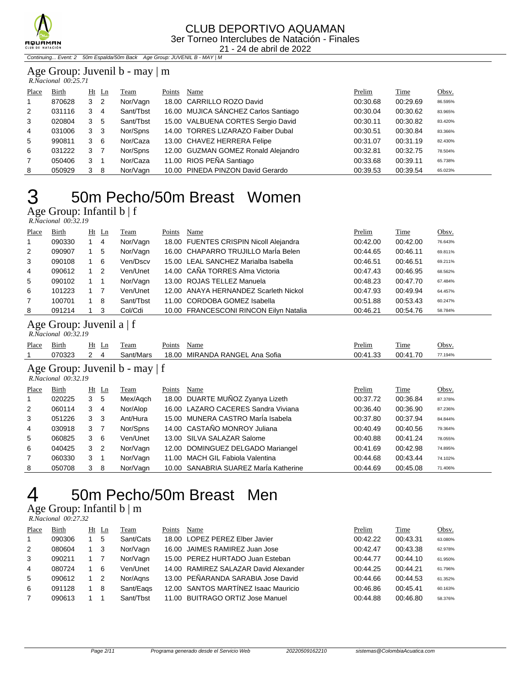

#### CLUB DEPORTIVO AQUAMAN 3er Torneo Interclubes de Natación - Finales 21 - 24 de abril de 2022

Continuing... Event: 2 50m Espalda/50m Back Age Group: JUVENIL B - MAY | M

#### Age Group: Juvenil b - may | m  *R.Nacional 00:25.71*

| Place          | Birth  | Ht | Ln  | Team      | Points | Name                                 | Prelim   | Time     | Obsv.   |
|----------------|--------|----|-----|-----------|--------|--------------------------------------|----------|----------|---------|
| $\mathbf{1}$   | 870628 | 3  | 2   | Nor/Vagn  |        | 18.00 CARRILLO ROZO David            | 00:30.68 | 00:29.69 | 86.595% |
| 2              | 031116 | 3  | 4   | Sant/Tbst |        | 16.00 MUJICA SÁNCHEZ Carlos Santiago | 00:30.04 | 00:30.62 | 83.965% |
| 3              | 020804 | 3  | 5   | Sant/Tbst |        | 15.00 VALBUENA CORTES Sergio David   | 00:30.11 | 00:30.82 | 83.420% |
| 4              | 031006 | 3  | -3  | Nor/Spns  |        | 14.00 TORRES LIZARAZO Faiber Dubal   | 00:30.51 | 00:30.84 | 83.366% |
| 5              | 990811 | 3  | - 6 | Nor/Caza  |        | 13.00 CHAVEZ HERRERA Felipe          | 00:31.07 | 00:31.19 | 82.430% |
| 6              | 031222 | 3  | 7   | Nor/Spns  |        | 12.00 GUZMAN GOMEZ Ronald Alejandro  | 00:32.81 | 00:32.75 | 78.504% |
| $\overline{7}$ | 050406 | 3  | -1  | Nor/Caza  |        | 11.00 RIOS PEÑA Santiago             | 00:33.68 | 00:39.11 | 65.738% |
| 8              | 050929 | 3  | -8  | Nor/Vagn  |        | 10.00 PINEDA PINZON David Gerardo    | 00:39.53 | 00:39.54 | 65.023% |

## 50m Pecho/50m Breast Women  $\frac{3}{\text{Age Group: Infantib b } |f}$

| R.Nacional 00:32.19 |  |
|---------------------|--|
|                     |  |
|                     |  |

| Place          | <b>Birth</b> | $Ht$ Ln        | Team      | Points | Name                                   | Prelim   | <b>Time</b> | Obsv.   |
|----------------|--------------|----------------|-----------|--------|----------------------------------------|----------|-------------|---------|
| $\overline{1}$ | 090330       | $\overline{4}$ | Nor/Vagn  |        | 18.00 FUENTES CRISPIN Nicoll Alejandra | 00:42.00 | 00:42.00    | 76.643% |
| 2              | 090907       | -5             | Nor/Vagn  |        | 16.00 CHAPARRO TRUJILLO MarÍa Belen    | 00:44.65 | 00:46.11    | 69.811% |
| 3              | 090108       | - 6            | Ven/Dscv  |        | 15.00 LEAL SANCHEZ Marialba Isabella   | 00:46.51 | 00:46.51    | 69.211% |
| 4              | 090612       | -2             | Ven/Unet  |        | 14.00 CAÑA TORRES Alma Victoria        | 00:47.43 | 00:46.95    | 68.562% |
| 5              | 090102       |                | Nor/Vagn  |        | 13.00 ROJAS TELLEZ Manuela             | 00:48.23 | 00:47.70    | 67.484% |
| 6              | 101223       |                | Ven/Unet  |        | 12.00 ANAYA HERNANDEZ Scarleth Nickol  | 00:47.93 | 00:49.94    | 64.457% |
| 7              | 100701       | -8             | Sant/Tbst |        | 11.00 CORDOBA GOMEZ Isabella           | 00:51.88 | 00:53.43    | 60.247% |
| 8              | 091214       | -3             | Col/Cdi   |        | 10.00 FRANCESCONI RINCON Eilyn Natalia | 00:46.21 | 00:54.76    | 58.784% |

### Age Group: Juvenil a | f

| R.Nacional 00:32.19 |  |
|---------------------|--|

| Place                                                    | Birth  |                | Ht Ln          | Team      | Points | Name                                | Prelim   | Time     | Obsv.   |  |  |  |
|----------------------------------------------------------|--------|----------------|----------------|-----------|--------|-------------------------------------|----------|----------|---------|--|--|--|
|                                                          | 070323 | 2              | 4              | Sant/Mars |        | 18.00 MIRANDA RANGEL Ana Sofia      | 00:41.33 | 00:41.70 | 77.194% |  |  |  |
| Age Group: Juvenil b - may   f<br>$R. Nacional$ 00:32.19 |        |                |                |           |        |                                     |          |          |         |  |  |  |
| Place                                                    | Birth  |                | $Ht$ Ln        | Team      | Points | Name                                | Prelim   | Time     | Obsv.   |  |  |  |
|                                                          | 020225 | 3 <sub>5</sub> |                | Mex/Agch  |        | 18.00 DUARTE MUÑOZ Zyanya Lizeth    | 00:37.72 | 00:36.84 | 87.378% |  |  |  |
| 2                                                        | 060114 | 3              | -4             | Nor/Alop  |        | 16.00 LAZARO CACERES Sandra Viviana | 00:36.40 | 00:36.90 | 87.236% |  |  |  |
| 3                                                        | 051226 | 3              | - 3            | Ant/Hura  |        | 15.00 MUNERA CASTRO María Isabela   | 00:37.80 | 00:37.94 | 84.844% |  |  |  |
| 4                                                        | 030918 | 3 <sub>7</sub> |                | Nor/Spns  |        | 14.00 CASTAÑO MONROY Juliana        | 00:40.49 | 00:40.56 | 79.364% |  |  |  |
| 5                                                        | 060825 | 3              | - 6            | Ven/Unet  |        | 13.00 SILVA SALAZAR Salome          | 00:40.88 | 00:41.24 | 78.055% |  |  |  |
| 6                                                        | 040425 | 3              | $\overline{2}$ | Nor/Vagn  |        | 12.00 DOMINGUEZ DELGADO Mariangel   | 00:41.69 | 00:42.98 | 74.895% |  |  |  |
| 7                                                        | 060330 | 3              |                | Nor/Vagn  |        | 11.00 MACH GIL Fabiola Valentina    | 00:44.68 | 00:43.44 | 74.102% |  |  |  |

## 50m Pecho/50m Breast Men

### Age Group: Infantil b | m

 *R.Nacional 00:27.32* 

| Place | Birth  | Ht Ln | Team      | Points | Name                                  | Prelim   | Time     | Obsv.   |
|-------|--------|-------|-----------|--------|---------------------------------------|----------|----------|---------|
|       | 090306 | 5     | Sant/Cats |        | 18.00 LOPEZ PEREZ Elber Javier        | 00:42.22 | 00:43.31 | 63.080% |
| 2     | 080604 | -3    | Nor/Vagn  |        | 16.00 JAIMES RAMIREZ Juan Jose        | 00:42.47 | 00:43.38 | 62.978% |
| 3     | 090211 |       | Nor/Vagn  |        | 15.00 PEREZ HURTADO Juan Esteban      | 00:44.77 | 00:44.10 | 61.950% |
| 4     | 080724 | 6     | Ven/Unet  |        | 14.00 RAMIREZ SALAZAR David Alexander | 00:44.25 | 00:44.21 | 61.796% |
| 5     | 090612 | -2    | Nor/Agns  |        | 13.00 PEÑARANDA SARABIA Jose David    | 00:44.66 | 00:44.53 | 61.352% |
| 6     | 091128 | 8     | Sant/Eags |        | 12.00 SANTOS MARTÍNEZ Isaac Mauricio  | 00:46.86 | 00:45.41 | 60.163% |
|       | 090613 |       | Sant/Tbst |        | 11.00 BUITRAGO ORTIZ Jose Manuel      | 00:44.88 | 00:46.80 | 58.376% |

050708 3 8 Nor/Vagn 10.00 SANABRIA SUAREZ MarÍa Katherine 00:44.69 00:45.08 71.406%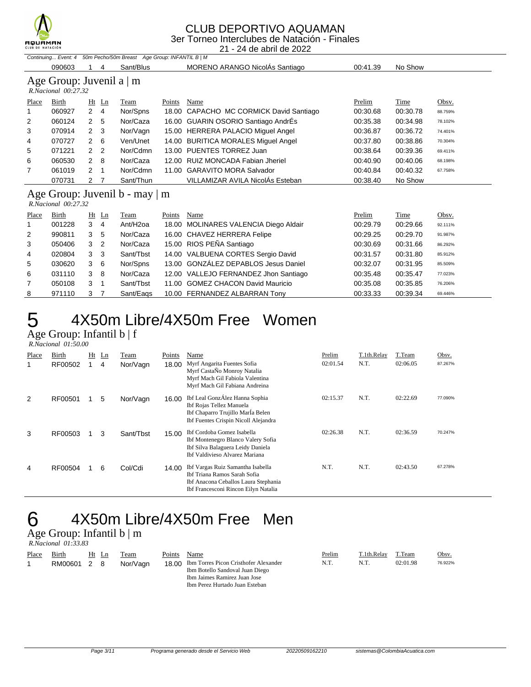

### CLUB DEPORTIVO AQUAMAN

3er Torneo Interclubes de Natación - Finales 21 - 24 de abril de 2022

|              | 21 - 24 de abril de 2022                              |                                |                                                                    |        |                                         |          |          |         |  |  |  |
|--------------|-------------------------------------------------------|--------------------------------|--------------------------------------------------------------------|--------|-----------------------------------------|----------|----------|---------|--|--|--|
|              |                                                       |                                | Continuing Event: 4 50m Pecho/50m Breast Age Group: INFANTIL B   M |        |                                         |          |          |         |  |  |  |
|              | 090603                                                | 4                              | Sant/Blus                                                          |        | MORENO ARANGO NicolAs Santiago          | 00:41.39 | No Show  |         |  |  |  |
|              | Age Group: Juvenil a $\vert$ m<br>R.Nacional 00:27.32 |                                |                                                                    |        |                                         |          |          |         |  |  |  |
| Place        | Birth                                                 | Ht<br>$\mathbf{L}$ n           | Team                                                               | Points | Name                                    | Prelim   | Time     | Obsv.   |  |  |  |
|              | 060927                                                | $2 \quad 4$                    | Nor/Spns                                                           |        | 18.00 CAPACHO MC CORMICK David Santiago | 00:30.68 | 00:30.78 | 88.759% |  |  |  |
| 2            | 060124                                                | $\overline{2}$<br>5            | Nor/Caza                                                           |        | 16.00 GUARIN OSORIO Santiago AndrÉs     | 00:35.38 | 00:34.98 | 78.102% |  |  |  |
| 3            | 070914                                                | -3<br>$\mathbf{2}$             | Nor/Vagn                                                           |        | 15.00 HERRERA PALACIO Miguel Angel      | 00:36.87 | 00:36.72 | 74.401% |  |  |  |
| 4            | 070727                                                | 6<br>$\mathcal{P}$             | Ven/Unet                                                           |        | 14.00 BURITICA MORALES Miguel Angel     | 00:37.80 | 00:38.86 | 70.304% |  |  |  |
| 5            | 071221                                                | $\mathbf{2}$<br>$\overline{2}$ | Nor/Cdmn                                                           |        | 13.00 PUENTES TORREZ Juan               | 00:38.64 | 00:39.36 | 69.411% |  |  |  |
| 6            | 060530                                                | $\mathcal{P}$<br>8             | Nor/Caza                                                           |        | 12.00 RUIZ MONCADA Fabian Jheriel       | 00:40.90 | 00:40.06 | 68.198% |  |  |  |
| 7            | 061019                                                | 2 <sub>1</sub>                 | Nor/Cdmn                                                           | 11.00  | <b>GARAVITO MORA Salvador</b>           | 00:40.84 | 00:40.32 | 67.758% |  |  |  |
|              | 070731                                                | 2 <sub>7</sub>                 | Sant/Thun                                                          |        | VILLAMIZAR AVILA NicolÁs Esteban        | 00:38.40 | No Show  |         |  |  |  |
|              | R.Nacional 00:27.32                                   |                                | Age Group: Juvenil $b - \max   m$                                  |        |                                         |          |          |         |  |  |  |
| <b>Place</b> | Birth                                                 | Ht<br>Ln                       | Team                                                               | Points | Name                                    | Prelim   | Time     | Obsv.   |  |  |  |
|              | 001228                                                | 3<br>4                         | Ant/H <sub>2</sub> oa                                              |        | 18.00 MOLINARES VALENCIA Diego Aldair   | 00:29.79 | 00:29.66 | 92.111% |  |  |  |
| 2            | 990811                                                | 3<br>5                         | Nor/Caza                                                           |        | 16.00 CHAVEZ HERRERA Felipe             | 00:29.25 | 00:29.70 | 91.987% |  |  |  |
| 3            | 050406                                                | 3<br>2                         | Nor/Caza                                                           |        | 15.00 RIOS PEÑA Santiago                | 00:30.69 | 00:31.66 | 86.292% |  |  |  |
| 4            | 020804                                                | 3<br>3                         | Sant/Tbst                                                          | 14.00  | VALBUENA CORTES Sergio David            | 00:31.57 | 00:31.80 | 85.912% |  |  |  |
| 5            | 030620                                                | 3<br>6                         | Nor/Spns                                                           | 13.00  | <b>GONZÁLEZ DEPABLOS Jesus Daniel</b>   | 00:32.07 | 00:31.95 | 85.509% |  |  |  |
| 6            | 031110                                                | 3<br>8                         | Nor/Caza                                                           |        | 12.00 VALLEJO FERNANDEZ Jhon Santiago   | 00:35.48 | 00:35.47 | 77.023% |  |  |  |
| 7            | 050108                                                | 3<br>-1                        | Sant/Tbst                                                          |        | 11.00 GOMEZ CHACON David Mauricio       | 00:35.08 | 00:35.85 | 76.206% |  |  |  |
| 8            | 971110                                                | 3<br>7                         | Sant/Eags                                                          |        | 10.00 FERNANDEZ ALBARRAN Tony           | 00:33.33 | 00:39.34 | 69.446% |  |  |  |

# 5 4X50m Libre/4X50m Free Women

Age Group: Infantil b | f  *R.Nacional 01:50.00* 

| Place | Birth<br>RF00502 | Ht | Ln<br>4 | Team<br>Nor/Vagn | Points<br>18.00 | Name<br>Myrf Angarita Fuentes Sofia<br>Myrf CastaÑo Monroy Natalia<br>Myrf Mach Gil Fabiola Valentina<br>Myrf Mach Gil Fabiana Andreina           | Prelim<br>02:01.54 | T.1th.Relay<br>N.T. | T.Team<br>02:06.05 | Obsv.<br>87.267% |
|-------|------------------|----|---------|------------------|-----------------|---------------------------------------------------------------------------------------------------------------------------------------------------|--------------------|---------------------|--------------------|------------------|
| 2     | RF00501          |    | 5       | Nor/Vagn         | 16.00           | Ibf Leal GonzÁlez Hanna Sophia<br>Ibf Rojas Tellez Manuela<br>Ibf Chaparro Trujillo María Belen<br>Ibf Fuentes Crispin Nicoll Alejandra           | 02:15.37           | N.T.                | 02:22.69           | 77.090%          |
| 3     | RF00503          |    | 3       | Sant/Tbst        | 15.00           | Ibf Cordoba Gomez Isabella<br>Ibf Montenegro Blanco Valery Sofia<br>Ibf Silva Balaguera Leidy Daniela<br>Ibf Valdivieso Alvarez Mariana           | 02:26.38           | N.T.                | 02:36.59           | 70.247%          |
| 4     | RF00504          |    | 6       | Col/Cdi          | 14.00           | Ibf Vargas Ruiz Samantha Isabella<br>Ibf Triana Ramos Sarah Sofia<br>Ibf Anacona Ceballos Laura Stephania<br>Ibf Francesconi Rincon Eilyn Natalia | N.T.               | N.T.                | 02:43.50           | 67.278%          |

# 6 4X50m Libre/4X50m Free Men

Age Group: Infantil b | m  *R.Nacional 01:33.83* 

| Place | Birth   |   | Ht Ln | Team     | Points | Name                                        | Prelim | T.1th.Relay | T.Team   | Obsv.   |
|-------|---------|---|-------|----------|--------|---------------------------------------------|--------|-------------|----------|---------|
|       | RM00601 | 2 | - 8   | Nor/Vagn |        | 18.00 Ibm Torres Picon Cristhofer Alexander | N.T.   | N.T.        | 02:01.98 | 76.922% |
|       |         |   |       |          |        | Ibm Botello Sandoval Juan Diego             |        |             |          |         |
|       |         |   |       |          |        | Ibm Jaimes Ramirez Juan Jose                |        |             |          |         |
|       |         |   |       |          |        | Ibm Perez Hurtado Juan Esteban              |        |             |          |         |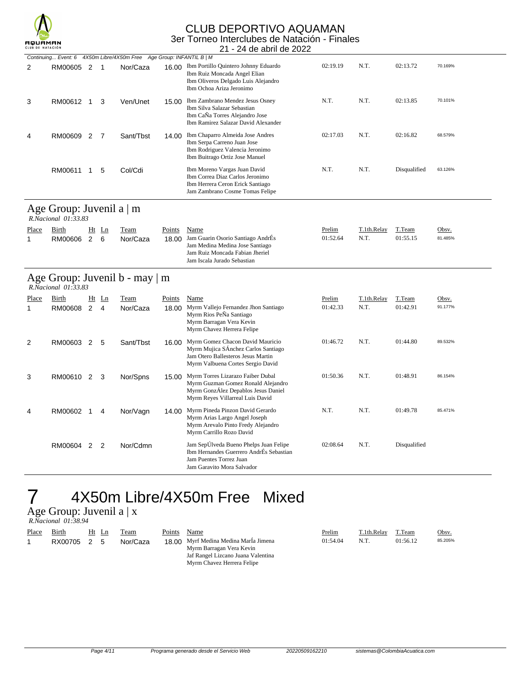

### CLUB DEPORTIVO AQUAMAN 3er Torneo Interclubes de Natación - Finales

| CLUB DE NATACIÓN |                                                       |              |                |                                                                      |        | 21 - 24 de abril de 2022                                                                                                                           |          |             |              |         |
|------------------|-------------------------------------------------------|--------------|----------------|----------------------------------------------------------------------|--------|----------------------------------------------------------------------------------------------------------------------------------------------------|----------|-------------|--------------|---------|
|                  |                                                       |              |                | Continuing Event: 6 4X50m Libre/4X50m Free Age Group: INFANTIL B   M |        |                                                                                                                                                    |          |             |              |         |
| 2                | RM00605 2                                             |              | -1             | Nor/Caza                                                             |        | 16.00 Ibm Portillo Quintero Johnny Eduardo<br>Ibm Ruiz Moncada Angel Elian<br>Ibm Oliveros Delgado Luis Alejandro<br>Ibm Ochoa Ariza Jeronimo      | 02:19.19 | N.T.        | 02:13.72     | 70.169% |
| 3                | RM00612                                               | $\mathbf{1}$ | 3              | Ven/Unet                                                             | 15.00  | Ibm Zambrano Mendez Jesus Osney<br>Ibm Silva Salazar Sebastian<br>Ibm CaÑa Torres Alejandro Jose<br>Ibm Ramirez Salazar David Alexander            | N.T.     | N.T.        | 02:13.85     | 70.101% |
| 4                | RM00609 2                                             |              | $\overline{7}$ | Sant/Tbst                                                            | 14.00  | Ibm Chaparro Almeida Jose Andres<br>Ibm Serpa Carreno Juan Jose<br>Ibm Rodriguez Valencia Jeronimo<br>Ibm Buitrago Ortiz Jose Manuel               | 02:17.03 | N.T.        | 02:16.82     | 68.579% |
|                  | RM00611                                               | 1            | 5              | Col/Cdi                                                              |        | Ibm Moreno Vargas Juan David<br>Ibm Correa Diaz Carlos Jeronimo<br>Ibm Herrera Ceron Erick Santiago<br>Jam Zambrano Cosme Tomas Felipe             | N.T.     | N.T.        | Disqualified | 63.126% |
|                  | Age Group: Juvenil a $\vert$ m<br>R.Nacional 01:33.83 |              |                |                                                                      |        |                                                                                                                                                    |          |             |              |         |
| Place            | Birth                                                 |              | $Ht$ Ln        | Team                                                                 | Points | Name                                                                                                                                               | Prelim   | T.1th.Relay | T.Team       | Obsv.   |
| $\mathbf{1}$     | RM00606                                               | 2            | 6              | Nor/Caza                                                             | 18.00  | Jam Guarin Osorio Santiago AndrÉs<br>Jam Medina Medina Jose Santiago<br>Jam Ruiz Moncada Fabian Jheriel<br>Jam Iscala Jurado Sebastian             | 01:52.64 | N.T.        | 01:55.15     | 81.485% |
|                  | R.Nacional 01:33.83                                   |              |                | Age Group: Juvenil b - may   m                                       |        |                                                                                                                                                    |          |             |              |         |
| Place            | Birth                                                 |              | $Ht$ Ln        | <b>Team</b>                                                          | Points | Name                                                                                                                                               | Prelim   | T.1th.Relay | T.Team       | Obsv.   |
| $\mathbf{1}$     | RM00608                                               | $2^{\circ}$  | $\overline{4}$ | Nor/Caza                                                             | 18.00  | Myrm Vallejo Fernandez Jhon Santiago<br>Myrm Rios PeÑa Santiago<br>Myrm Barragan Vera Kevin<br>Myrm Chavez Herrera Felipe                          | 01:42.33 | N.T.        | 01:42.91     | 91.177% |
| 2                | RM00603 2                                             |              | 5              | Sant/Tbst                                                            | 16.00  | Myrm Gomez Chacon David Mauricio<br>Myrm Mujica SÁnchez Carlos Santiago<br>Jam Otero Ballesteros Jesus Martin<br>Myrm Valbuena Cortes Sergio David | 01:46.72 | N.T.        | 01:44.80     | 89.532% |
| 3                | RM00610 2                                             |              | 3              | Nor/Spns                                                             | 15.00  | Myrm Torres Lizarazo Faiber Dubal<br>Myrm Guzman Gomez Ronald Alejandro<br>Myrm GonzÁlez Depablos Jesus Daniel<br>Myrm Reyes Villarreal Luis David | 01:50.36 | N.T.        | 01:48.91     | 86.154% |
| 4                | RM00602                                               | 1            | 4              | Nor/Vagn                                                             | 14.00  | Myrm Pineda Pinzon David Gerardo<br>Myrm Arias Largo Angel Joseph                                                                                  | N.T.     | N.T.        | 01:49.78     | 85.471% |

# 4X50m Libre/4X50m Free Mixed

Age Group: Juvenil a | x

| R.Nacional 01:38.94 |  |
|---------------------|--|
|                     |  |

| Place | Birth   | Ht Ln | Team     | Points | Name                                                                                                                                  | <b>Prelim</b> | T.1th.Relay | T.Team   | Obsv.   |
|-------|---------|-------|----------|--------|---------------------------------------------------------------------------------------------------------------------------------------|---------------|-------------|----------|---------|
|       | RX00705 | 5     | Nor/Caza |        | 18.00 Myrf Medina Medina MarÍa Jimena<br>Myrm Barragan Vera Kevin<br>Jaf Rangel Lizcano Juana Valentina<br>Myrm Chavez Herrera Felipe | 01:54.04      | N.T.        | 01:56.12 | 85.205% |

Myrm Arevalo Pinto Fredy Alejandro Myrm Carrillo Rozo David

Jam Puentes Torrez Juan Jam Garavito Mora Salvador

RM00604 2 2 Nor/Cdmn Jam SepÚlveda Bueno Phelps Juan Felipe 02:08.64 N.T. Disqualified Ibm Hernandes Guerrero AndrÉs Sebastian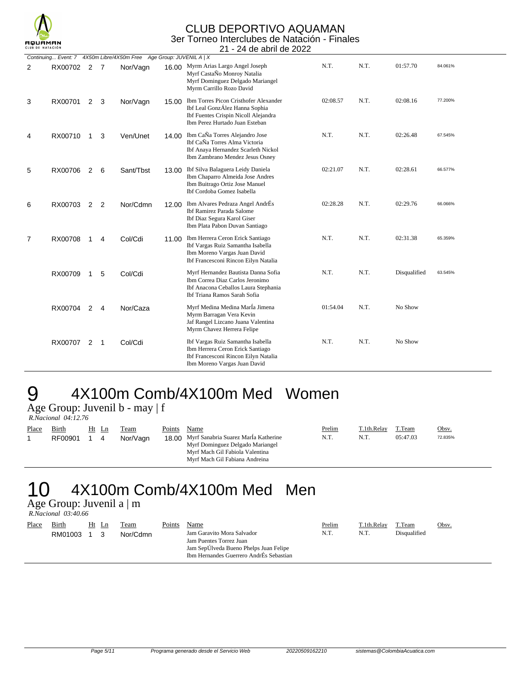

#### CLUB DEPORTIVO AQUAMAN 3er Torneo Interclubes de Natación - Finales 21 - 24 de abril de 2022

|                |             |                |                |                                                                     |       | Z I = Z4 UC QUIII UC ZUZZ                                                                                                                               |          |      |              |         |
|----------------|-------------|----------------|----------------|---------------------------------------------------------------------|-------|---------------------------------------------------------------------------------------------------------------------------------------------------------|----------|------|--------------|---------|
|                |             |                |                | Continuing Event: 7 4X50m Libre/4X50m Free Age Group: JUVENIL A   X |       |                                                                                                                                                         |          |      |              |         |
| 2              | RX00702 2 7 |                |                | Nor/Vagn                                                            |       | 16.00 Myrm Arias Largo Angel Joseph<br>Myrf CastaÑo Monroy Natalia<br>Myrf Dominguez Delgado Mariangel<br>Myrm Carrillo Rozo David                      | N.T.     | N.T. | 01:57.70     | 84.061% |
| 3              | RX00701     |                | $2 \quad 3$    | Nor/Vagn                                                            |       | 15.00 Ibm Torres Picon Cristhofer Alexander<br>Ibf Leal GonzÁlez Hanna Sophia<br>Ibf Fuentes Crispin Nicoll Alejandra<br>Ibm Perez Hurtado Juan Esteban | 02:08.57 | N.T. | 02:08.16     | 77.200% |
| 4              | RX00710     | $\mathbf{1}$   | 3              | Ven/Unet                                                            |       | 14.00 Ibm CaÑa Torres Alejandro Jose<br>Ibf CaÑa Torres Alma Victoria<br>Ibf Anaya Hernandez Scarleth Nickol<br>Ibm Zambrano Mendez Jesus Osney         | N.T.     | N.T. | 02:26.48     | 67.545% |
| 5              | RX00706     | $\overline{2}$ | 6              | Sant/Tbst                                                           | 13.00 | Ibf Silva Balaguera Leidy Daniela<br>Ibm Chaparro Almeida Jose Andres<br>Ibm Buitrago Ortiz Jose Manuel<br>Ibf Cordoba Gomez Isabella                   | 02:21.07 | N.T. | 02:28.61     | 66.577% |
| 6              | RX00703     | 2              | $\overline{2}$ | Nor/Cdmn                                                            |       | 12.00 Ibm Alvares Pedraza Angel AndrÉs<br><b>Ibf Ramirez Parada Salome</b><br>Ibf Diaz Segura Karol Giser<br>Ibm Plata Pabon Duvan Santiago             | 02:28.28 | N.T. | 02:29.76     | 66.066% |
| $\overline{7}$ | RX00708     | -1             | 4              | Col/Cdi                                                             |       | 11.00 Ibm Herrera Ceron Erick Santiago<br>Ibf Vargas Ruiz Samantha Isabella<br>Ibm Moreno Vargas Juan David<br>Ibf Francesconi Rincon Eilyn Natalia     | N.T.     | N.T. | 02:31.38     | 65.359% |
|                | RX00709     | $\mathbf{1}$   | 5              | Col/Cdi                                                             |       | Myrf Hernandez Bautista Danna Sofia<br>Ibm Correa Diaz Carlos Jeronimo<br>Ibf Anacona Ceballos Laura Stephania<br>Ibf Triana Ramos Sarah Sofia          | N.T.     | N.T. | Disqualified | 63.545% |
|                | RX00704     | 2              | 4              | Nor/Caza                                                            |       | Myrf Medina Medina Marla Jimena<br>Myrm Barragan Vera Kevin<br>Jaf Rangel Lizcano Juana Valentina<br>Myrm Chavez Herrera Felipe                         | 01:54.04 | N.T. | No Show      |         |
|                | RX00707     | 2              | - 1            | Col/Cdi                                                             |       | Ibf Vargas Ruiz Samantha Isabella<br>Ibm Herrera Ceron Erick Santiago<br>Ibf Francesconi Rincon Eilyn Natalia<br>Ibm Moreno Vargas Juan David           | N.T.     | N.T. | No Show      |         |

# 9 4X100m Comb/4X100m Med Women

Age Group: Juvenil b - may | f

|       | R.Nacional 04:12.76 |              |                  |                 |                                                                                                                                                       |                |                     |                    |                  |
|-------|---------------------|--------------|------------------|-----------------|-------------------------------------------------------------------------------------------------------------------------------------------------------|----------------|---------------------|--------------------|------------------|
| Place | Birth<br>RF00901    | Ht Ln<br>1 4 | Team<br>Nor/Vagn | Points<br>18.00 | Name<br>Myrf Sanabria Suarez Marla Katherine<br>Myrf Dominguez Delgado Mariangel<br>Myrf Mach Gil Fabiola Valentina<br>Myrf Mach Gil Fabiana Andreina | Prelim<br>N.T. | T.1th.Relay<br>N.T. | T.Team<br>05:47.03 | Obsv.<br>72.835% |

# 10 4X100m Comb/4X100m Med Men

Age Group: Juvenil a | m  *R.Nacional 03:40.66* 

| Place | Birth<br>RM01003 | Ht Ln | Team<br>Nor/Cdmn | Points | Name<br>Jam Garavito Mora Salvador<br>Jam Puentes Torrez Juan<br>Jam SepÚlveda Bueno Phelps Juan Felipe<br>Ibm Hernandes Guerrero AndrÉs Sebastian | Prelim<br>N.T | T.1th.Relay<br>N.T. | T.Team<br>Disqualified | Obsv. |
|-------|------------------|-------|------------------|--------|----------------------------------------------------------------------------------------------------------------------------------------------------|---------------|---------------------|------------------------|-------|
|       |                  |       |                  |        |                                                                                                                                                    |               |                     |                        |       |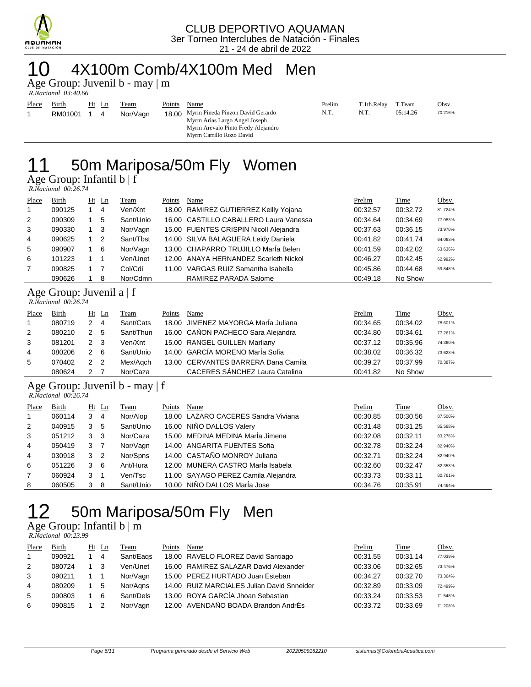

## 10 4X100m Comb/4X100m Med Men

Age Group: Juvenil b - may | m

|       | R.Nacional 03:40.66     |    |   |                  |        |                                                                                                                                                   |                |                     |                    |                  |
|-------|-------------------------|----|---|------------------|--------|---------------------------------------------------------------------------------------------------------------------------------------------------|----------------|---------------------|--------------------|------------------|
| Place | <b>Birth</b><br>RM01001 | Ht | 4 | Team<br>Nor/Vagn | Points | Name<br>18.00 Myrm Pineda Pinzon David Gerardo<br>Myrm Arias Largo Angel Joseph<br>Myrm Arevalo Pinto Fredy Alejandro<br>Myrm Carrillo Rozo David | Prelim<br>N.T. | T.1th.Relay<br>N.T. | T.Team<br>05:14.26 | Obsv.<br>70.216% |

## 11 50m Mariposa/50m Fly Women Age Group: Infantil b | f

 *R.Nacional 00:26.74* 

| Place          | Birth  | Ht Ln          | Team      | Points | Name                                   | Prelim   | Time     | Obsv.   |
|----------------|--------|----------------|-----------|--------|----------------------------------------|----------|----------|---------|
| $\mathbf{1}$   | 090125 | $\overline{4}$ | Ven/Xnt   |        | 18.00 RAMIREZ GUTIERREZ Keilly Yojana  | 00:32.57 | 00:32.72 | 81.724% |
| 2              | 090309 | 5              | Sant/Unio |        | 16.00 CASTILLO CABALLERO Laura Vanessa | 00:34.64 | 00:34.69 | 77.083% |
| 3              | 090330 | - 3            | Nor/Vagn  |        | 15.00 FUENTES CRISPIN Nicoll Alejandra | 00:37.63 | 00:36.15 | 73.970% |
| 4              | 090625 | - 2            | Sant/Tbst |        | 14.00 SILVA BALAGUERA Leidy Daniela    | 00:41.82 | 00:41.74 | 64.063% |
| 5              | 090907 | - 6            | Nor/Vagn  |        | 13.00 CHAPARRO TRUJILLO MarÍa Belen    | 00:41.59 | 00:42.02 | 63.636% |
| 6              | 101223 |                | Ven/Unet  |        | 12.00 ANAYA HERNANDEZ Scarleth Nickol  | 00:46.27 | 00:42.45 | 62.992% |
| $\overline{7}$ | 090825 |                | Col/Cdi   |        | 11.00 VARGAS RUIZ Samantha Isabella    | 00:45.86 | 00:44.68 | 59.848% |
|                | 090626 | 8              | Nor/Cdmn  |        | RAMIREZ PARADA Salome                  | 00:49.18 | No Show  |         |

## Age Group: Juvenil a | f

| R.Nacional 00:26.74 |  |
|---------------------|--|

| Place | Birth  |     | $Ht$ Ln        | Team      | Points | Name                                | Prelim   | Time     | Obsv.   |
|-------|--------|-----|----------------|-----------|--------|-------------------------------------|----------|----------|---------|
|       | 080719 |     | $\overline{4}$ | Sant/Cats |        | 18.00 JIMENEZ MAYORGA Marla Juliana | 00:34.65 | 00:34.02 | 78.601% |
| 2     | 080210 | 2 5 |                | Sant/Thun |        | 16.00 CAÑON PACHECO Sara Alejandra  | 00:34.80 | 00:34.61 | 77.261% |
| 3     | 081201 | 2 3 |                | Ven/Xnt   |        | 15.00 RANGEL GUILLEN Marliany       | 00:37.12 | 00:35.96 | 74.360% |
| 4     | 080206 |     | - 6            | Sant/Unio |        | 14.00 GARCÍA MORENO MarÍa Sofia     | 00:38.02 | 00:36.32 | 73.623% |
| 5     | 070402 | 2 2 |                | Mex/Agch  |        | 13.00 CERVANTES BARRERA Dana Camila | 00:39.27 | 00:37.99 | 70.387% |
|       | 080624 |     |                | Nor/Caza  |        | CACERES SÁNCHEZ Laura Catalina      | 00:41.82 | No Show  |         |

### Age Group: Juvenil b - may | f

|                | R.Nacional 00:26.74 |   |                |           |        |                                     |          |          |         |  |  |  |
|----------------|---------------------|---|----------------|-----------|--------|-------------------------------------|----------|----------|---------|--|--|--|
| Place          | Birth               |   | $Ht$ Ln        | Team      | Points | Name                                | Prelim   | Time     | Obsv.   |  |  |  |
| $\overline{1}$ | 060114              | 3 | 4              | Nor/Alop  |        | 18.00 LAZARO CACERES Sandra Viviana | 00:30.85 | 00:30.56 | 87.500% |  |  |  |
| 2              | 040915              | 3 | -5             | Sant/Unio |        | 16.00 NIÑO DALLOS Valery            | 00:31.48 | 00:31.25 | 85.568% |  |  |  |
| 3              | 051212              | 3 | -3             | Nor/Caza  |        | 15.00 MEDINA MEDINA María Jimena    | 00:32.08 | 00:32.11 | 83.276% |  |  |  |
| $\overline{4}$ | 050419              | 3 | $\overline{7}$ | Nor/Vagn  |        | 14.00 ANGARITA FUENTES Sofia        | 00:32.78 | 00:32.24 | 82.940% |  |  |  |
| $\overline{4}$ | 030918              | 3 | - 2            | Nor/Spns  |        | 14.00 CASTAÑO MONROY Juliana        | 00:32.71 | 00:32.24 | 82.940% |  |  |  |
| 6              | 051226              | 3 | - 6            | Ant/Hura  |        | 12.00 MUNERA CASTRO María Isabela   | 00:32.60 | 00:32.47 | 82.353% |  |  |  |
| $\overline{7}$ | 060924              | 3 |                | Ven/Tsc   |        | 11.00 SAYAGO PEREZ Camila Alejandra | 00:33.73 | 00:33.11 | 80.761% |  |  |  |
| 8              | 060505              | 3 | -8             | Sant/Unio |        | 10.00 NIÑO DALLOS MarÍa Jose        | 00:34.76 | 00:35.91 | 74.464% |  |  |  |

## 12 50m Mariposa/50m Fly Men Age Group: Infantil b | m

 *R.Nacional 00:23.99* 

| Place | Birth  | Ht Ln | Team      | Points | Name                                       | Prelim   | Time     | Obsv.   |
|-------|--------|-------|-----------|--------|--------------------------------------------|----------|----------|---------|
|       | 090921 | -4    | Sant/Eags |        | 18.00 RAVELO FLOREZ David Santiago         | 00:31.55 | 00:31.14 | 77.039% |
| 2     | 080724 |       | Ven/Unet  |        | 16.00 RAMIREZ SALAZAR David Alexander      | 00:33.06 | 00:32.65 | 73.476% |
| 3     | 090211 |       | Nor/Vagn  |        | 15.00 PEREZ HURTADO Juan Esteban           | 00:34.27 | 00:32.70 | 73.364% |
| 4     | 080209 | 5     | Nor/Aans  |        | 14.00 RUIZ MARCIALES Julian David Snneider | 00:32.89 | 00:33.09 | 72.499% |
| 5     | 090803 | 6     | Sant/Dels |        | 13.00 ROYA GARCÍA Jhoan Sebastian          | 00:33.24 | 00:33.53 | 71.548% |
| 6     | 090815 |       | Nor/Vagn  |        | 12.00 AVENDAÑO BOADA Brandon AndrÉs        | 00:33.72 | 00:33.69 | 71.208% |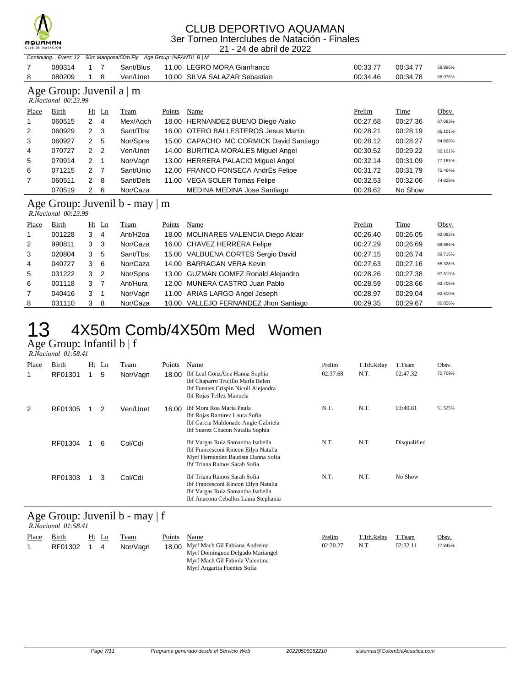

### CLUB DEPORTIVO AQUAMAN 3er Torneo Interclubes de Natación - Finales

21 - 24 de abril de 2022

| Continuing Event: 12 50m Mariposa/50m Fly Age Group: INFANTIL B   M |        |  |  |          |                                       |          |          |         |  |  |  |
|---------------------------------------------------------------------|--------|--|--|----------|---------------------------------------|----------|----------|---------|--|--|--|
|                                                                     | 080314 |  |  |          | Sant/Blus 11.00 LEGRO MORA Gianfranco | 00:33.77 | 00:34.77 | 68.996% |  |  |  |
|                                                                     | 080209 |  |  | Ven/Unet | 10.00 SILVA SALAZAR Sebastian         | 00:34.46 | 00:34.78 | 68.976% |  |  |  |
|                                                                     |        |  |  |          |                                       |          |          |         |  |  |  |

### Age Group: Juvenil a | m

|                | R.Nacional 00:23.99 |                      |                |           |        |                                         |          |          |         |
|----------------|---------------------|----------------------|----------------|-----------|--------|-----------------------------------------|----------|----------|---------|
| Place          | Birth               | Ht                   | Ln             | Team      | Points | Name                                    | Prelim   | Time     | Obsv.   |
| $\overline{1}$ | 060515              | 2                    | $\overline{4}$ | Mex/Agch  |        | 18.00 HERNANDEZ BUENO Diego Aiako       | 00:27.68 | 00:27.36 | 87.683% |
| 2              | 060929              | $\mathbf{2}$         | 3              | Sant/Tbst |        | 16.00 OTERO BALLESTEROS Jesus Martin    | 00:28.21 | 00:28.19 | 85.101% |
| 3              | 060927              | $\mathbf{2}$         | 5              | Nor/Spns  |        | 15.00 CAPACHO MC CORMICK David Santiago | 00:28.12 | 00:28.27 | 84.860% |
| 4              | 070727              | $\mathbf{2}$         | -2             | Ven/Unet  |        | 14.00 BURITICA MORALES Miguel Angel     | 00:30.52 | 00:29.22 | 82.101% |
| 5              | 070914              | $\mathbf{2}^{\circ}$ | - 1            | Nor/Vagn  |        | 13.00 HERRERA PALACIO Miguel Angel      | 00:32.14 | 00:31.09 | 77.163% |
| 6              | 071215              | 2                    | -7             | Sant/Unio |        | 12.00 FRANCO FONSECA AndrÉs Felipe      | 00:31.72 | 00:31.79 | 75.464% |
| $\overline{7}$ | 060511              | $\overline{2}$       | 8              | Sant/Dels |        | 11.00 VEGA SOLER Tomas Felipe           | 00:32.53 | 00:32.06 | 74.828% |
|                | 070519              | 2                    | 6              | Nor/Caza  |        | MEDINA MEDINA Jose Santiago             | 00:28.62 | No Show  |         |
|                |                     |                      |                |           |        |                                         |          |          |         |

#### Age Group: Juvenil b - may | m  *R.Nacional 00:23.99*

| Place          | Birth  |   | $Ht$ Ln        | Team                 | Points | Name                                  | Prelim   | Time     | Obsv.   |
|----------------|--------|---|----------------|----------------------|--------|---------------------------------------|----------|----------|---------|
| $\mathbf{1}$   | 001228 | 3 | 4              | Ant/H <sub>20a</sub> |        | 18.00 MOLINARES VALENCIA Diego Aldair | 00:26.40 | 00:26.05 | 92.092% |
| 2              | 990811 | 3 | -3             | Nor/Caza             |        | 16.00 CHAVEZ HERRERA Felipe           | 00:27.29 | 00:26.69 | 89.884% |
| 3              | 020804 | 3 | -5             | Sant/Tbst            |        | 15.00 VALBUENA CORTES Sergio David    | 00:27.15 | 00:26.74 | 89.716% |
| $\overline{4}$ | 040727 | 3 | -6             | Nor/Caza             |        | 14.00 BARRAGAN VERA Kevin             | 00:27.63 | 00:27.16 | 88.328% |
| 5              | 031222 | 3 | $\overline{2}$ | Nor/Spns             |        | 13.00 GUZMAN GOMEZ Ronald Alejandro   | 00:28.26 | 00:27.38 | 87.619% |
| 6              | 001118 | 3 |                | Ant/Hura             |        | 12.00 MUNERA CASTRO Juan Pablo        | 00:28.59 | 00:28.66 | 83.706% |
| $\overline{7}$ | 040416 | 3 | -1             | Nor/Vagn             |        | 11.00 ARIAS LARGO Angel Joseph        | 00:28.97 | 00:29.04 | 82.610% |
| 8              | 031110 | 3 | -8             | Nor/Caza             |        | 10.00 VALLEJO FERNANDEZ Jhon Santiago | 00:29.35 | 00:29.67 | 80.856% |

# 13 4X50m Comb/4X50m Med Women

Age Group: Infantil b | f  *R.Nacional 01:58.41* 

| Place | Birth<br>RF01301 | Ht | $\mathbf{L}$ n<br>5 | Team<br>Nor/Vagn | Points<br>18.00 | Name<br>Ibf Leal GonzÁlez Hanna Sophia<br>Ibf Chaparro Trujillo Marla Belen<br>Ibf Fuentes Crispin Nicoll Alejandra<br>Ibf Rojas Tellez Manuela   | Prelim<br>02:37.68 | T.1th.Relay<br>N.T. | T.Team<br>02:47.32 | Obsv.<br>70.769% |
|-------|------------------|----|---------------------|------------------|-----------------|---------------------------------------------------------------------------------------------------------------------------------------------------|--------------------|---------------------|--------------------|------------------|
| 2     | RF01305          |    | 2                   | Ven/Unet         | 16.00           | Ibf Mora Roa Maria Paula<br>Ibf Rojas Ramirez Laura Sofia<br>Ibf Garcia Maldonado Angie Gabriela<br>Ibf Suarez Chacon Natalia Sophia              | N.T.               | N.T.                | 03:49.81           | 51.525%          |
|       | RF01304          |    | 6                   | Col/Cdi          |                 | Ibf Vargas Ruiz Samantha Isabella<br>Ibf Francesconi Rincon Eilyn Natalia<br>Myrf Hernandez Bautista Danna Sofia<br>Ibf Triana Ramos Sarah Sofia  | N.T.               | N.T.                | Disqualified       |                  |
|       | RF01303          |    | 3                   | Col/Cdi          |                 | Ibf Triana Ramos Sarah Sofia<br>Ibf Francesconi Rincon Eilyn Natalia<br>Ibf Vargas Ruiz Samantha Isabella<br>Ibf Anacona Ceballos Laura Stephania | N.T.               | N.T.                | No Show            |                  |

### Age Group: Juvenil b - may | f  *R.Nacional 01:58.41*

| Place | Birth<br>RF01302 | Ht Ln<br>4 | Team<br>Nor/Vagn | Points | Name<br>18.00 Myrf Mach Gil Fabiana Andreina<br>Myrf Dominguez Delgado Mariangel | Prelim<br>02:20.27 | T.1th.Relay<br>N.T. | T.Team<br>02:32.11 | Obsv.<br>77.845% |
|-------|------------------|------------|------------------|--------|----------------------------------------------------------------------------------|--------------------|---------------------|--------------------|------------------|
|       |                  |            |                  |        | Myrf Mach Gil Fabiola Valentina                                                  |                    |                     |                    |                  |
|       |                  |            |                  |        | Myrf Angarita Fuentes Sofia                                                      |                    |                     |                    |                  |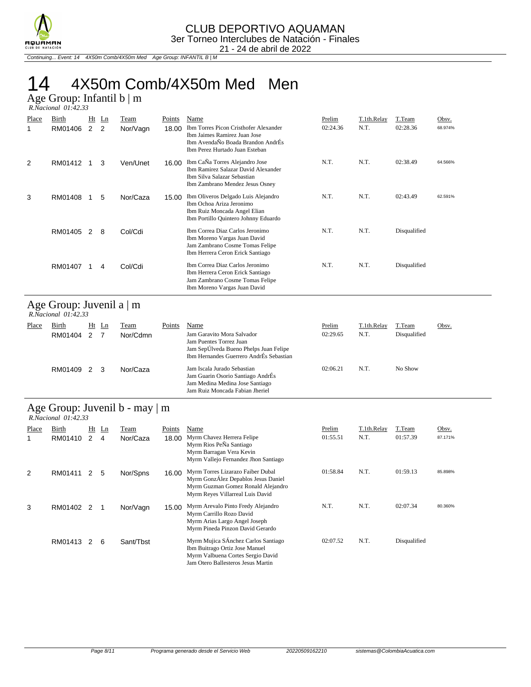

Continuing... Event: 14 4X50m Comb/4X50m Med Age Group: INFANTIL B | M

# 14 4X50m Comb/4X50m Med Men

Age Group: Infantil b | m  *R.Nacional 01:42.33* 

| Place | Birth<br>RM01406 | Ht<br>2 | Ln<br>2 | Team<br>Nor/Vagn | Points<br>18.00 | Name<br>Ibm Torres Picon Cristhofer Alexander<br>Ibm Jaimes Ramirez Juan Jose<br>Ibm AvendaÑo Boada Brandon AndrÉs<br>Ibm Perez Hurtado Juan Esteban | Prelim<br>02:24.36 | T.1th.Relay<br>N.T. | T.Team<br>02:28.36 | Obsv.<br>68.974% |
|-------|------------------|---------|---------|------------------|-----------------|------------------------------------------------------------------------------------------------------------------------------------------------------|--------------------|---------------------|--------------------|------------------|
| 2     | RM01412          |         | 3       | Ven/Unet         | 16.00           | Ibm Ca <sub>N</sub> a Torres Alejandro Jose<br>Ibm Ramirez Salazar David Alexander<br>Ibm Silva Salazar Sebastian<br>Ibm Zambrano Mendez Jesus Osney | N.T.               | N.T.                | 02:38.49           | 64.566%          |
| 3     | RM01408          |         | 5       | Nor/Caza         | 15.00           | Ibm Oliveros Delgado Luis Alejandro<br>Ibm Ochoa Ariza Jeronimo<br>Ibm Ruiz Moncada Angel Elian<br>Ibm Portillo Quintero Johnny Eduardo              | N.T.               | N.T.                | 02:43.49           | 62.591%          |
|       | RM01405          | 2       | 8       | Col/Cdi          |                 | Ibm Correa Diaz Carlos Jeronimo<br>Ibm Moreno Vargas Juan David<br>Jam Zambrano Cosme Tomas Felipe<br>Ibm Herrera Ceron Erick Santiago               | N.T.               | N.T.                | Disqualified       |                  |
|       | RM01407          |         | 4       | Col/Cdi          |                 | Ibm Correa Diaz Carlos Jeronimo<br>Ibm Herrera Ceron Erick Santiago<br>Jam Zambrano Cosme Tomas Felipe<br>Ibm Moreno Vargas Juan David               | N.T.               | N.T.                | Disqualified       |                  |

### Age Group: Juvenil a | m

| $R. Nacional$ $01:42.33$ |                    |  |         |                  |        |                                                                                                                                                    |                    |                     |                        |       |  |  |
|--------------------------|--------------------|--|---------|------------------|--------|----------------------------------------------------------------------------------------------------------------------------------------------------|--------------------|---------------------|------------------------|-------|--|--|
| Place                    | Birth<br>RM01404 2 |  | $Ht$ Ln | Team<br>Nor/Cdmn | Points | Name<br>Jam Garavito Mora Salvador<br>Jam Puentes Torrez Juan<br>Jam SepÚlveda Bueno Phelps Juan Felipe<br>Ibm Hernandes Guerrero AndrÉs Sebastian | Prelim<br>02:29.65 | T.1th.Relay<br>N.T. | T.Team<br>Disqualified | Obsv. |  |  |
|                          | RM01409 2 3        |  |         | Nor/Caza         |        | Jam Iscala Jurado Sebastian<br>Jam Guarin Osorio Santiago AndrÉs<br>Jam Medina Medina Jose Santiago<br>Jam Ruiz Moncada Fabian Jheriel             | 02:06.21           | N.T.                | No Show                |       |  |  |

## Age Group: Juvenil b - may | m

|       | $R. Nacional$ $01:42.33$ |   |         |           |        |                                                                                                                                                    |          |             |              |         |  |  |  |  |
|-------|--------------------------|---|---------|-----------|--------|----------------------------------------------------------------------------------------------------------------------------------------------------|----------|-------------|--------------|---------|--|--|--|--|
| Place | Birth                    |   | $Ht$ Ln | Team      | Points | Name                                                                                                                                               | Prelim   | T.1th.Relay | T.Team       | Obsv.   |  |  |  |  |
|       | RM01410                  | 2 | 4       | Nor/Caza  | 18.00  | Myrm Chavez Herrera Felipe<br>Myrm Rios PeÑa Santiago<br>Myrm Barragan Vera Kevin<br>Myrm Vallejo Fernandez Jhon Santiago                          | 01:55.51 | N.T.        | 01:57.39     | 87.171% |  |  |  |  |
| 2     | RM01411                  | 2 | 5       | Nor/Spns  | 16.00  | Myrm Torres Lizarazo Faiber Dubal<br>Myrm GonzÁlez Depablos Jesus Daniel<br>Myrm Guzman Gomez Ronald Alejandro<br>Myrm Reyes Villarreal Luis David | 01:58.84 | N.T.        | 01:59.13     | 85.898% |  |  |  |  |
| 3     | RM01402                  | 2 |         | Nor/Vagn  | 15.00  | Myrm Arevalo Pinto Fredy Alejandro<br>Myrm Carrillo Rozo David<br>Myrm Arias Largo Angel Joseph<br>Myrm Pineda Pinzon David Gerardo                | N.T.     | N.T.        | 02:07.34     | 80.360% |  |  |  |  |
|       | RM01413                  | 2 | 6       | Sant/Tbst |        | Myrm Mujica SÁnchez Carlos Santiago<br>Ibm Buitrago Ortiz Jose Manuel<br>Myrm Valbuena Cortes Sergio David<br>Jam Otero Ballesteros Jesus Martin   | 02:07.52 | N.T.        | Disqualified |         |  |  |  |  |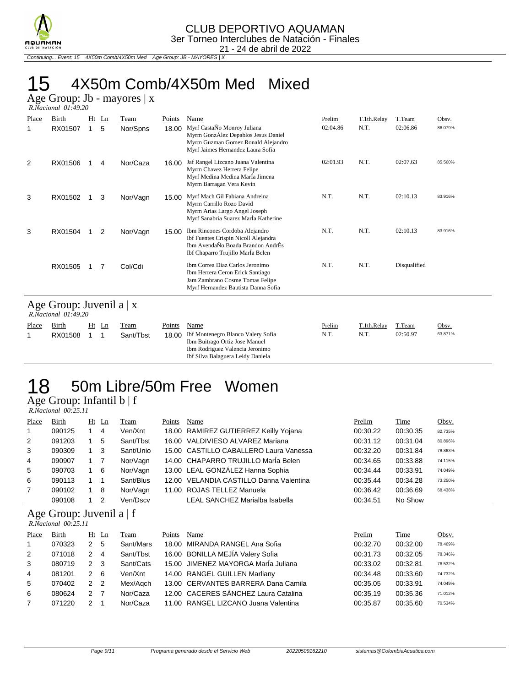

Continuing... Event: 15 4X50m Comb/4X50m Med Age Group: JB - MAYORES | X

# 15 4X50m Comb/4X50m Med Mixed

Age Group: Jb - mayores | x

|       | R.Nacional 01:49.20 |  |              |                  |                 |                                                                                                                                                       |                    |                     |                    |                  |  |  |
|-------|---------------------|--|--------------|------------------|-----------------|-------------------------------------------------------------------------------------------------------------------------------------------------------|--------------------|---------------------|--------------------|------------------|--|--|
| Place | Birth<br>RX01507    |  | $Ht$ Ln<br>5 | Team<br>Nor/Spns | Points<br>18.00 | Name<br>Myrf CastaÑo Monroy Juliana<br>Myrm GonzÁlez Depablos Jesus Daniel<br>Myrm Guzman Gomez Ronald Alejandro<br>Myrf Jaimes Hernandez Laura Sofia | Prelim<br>02:04.86 | T.1th.Relay<br>N.T. | T.Team<br>02:06.86 | Obsv.<br>86.079% |  |  |
| 2     | RX01506             |  | 4            | Nor/Caza         | 16.00           | Jaf Rangel Lizcano Juana Valentina<br>Myrm Chavez Herrera Felipe<br>Myrf Medina Medina Marla Jimena<br>Myrm Barragan Vera Kevin                       | 02:01.93           | N.T.                | 02:07.63           | 85.560%          |  |  |
| 3     | RX01502             |  | 3            | Nor/Vagn         | 15.00           | Myrf Mach Gil Fabiana Andreina<br>Myrm Carrillo Rozo David<br>Myrm Arias Largo Angel Joseph<br>Myrf Sanabria Suarez Marla Katherine                   | N.T.               | N.T.                | 02:10.13           | 83.916%          |  |  |
| 3     | RX01504             |  | 2            | Nor/Vagn         | 15.00           | Ibm Rincones Cordoba Alejandro<br>Ibf Fuentes Crispin Nicoll Alejandra<br>Ibm AvendaÑo Boada Brandon AndrÉs<br>Ibf Chaparro Trujillo Marla Belen      | N.T.               | N.T.                | 02:10.13           | 83.916%          |  |  |
|       | RX01505             |  |              | Col/Cdi          |                 | Ibm Correa Diaz Carlos Jeronimo<br>Ibm Herrera Ceron Erick Santiago<br>Jam Zambrano Cosme Tomas Felipe<br>Myrf Hernandez Bautista Danna Sofia         | N.T.               | N.T.                | Disqualified       |                  |  |  |

### Age Group: Juvenil a | x

|       | R.Nacional 01:49.20 |  |       |           |        |                                                                                                                                                    |        |             |          |         |  |  |
|-------|---------------------|--|-------|-----------|--------|----------------------------------------------------------------------------------------------------------------------------------------------------|--------|-------------|----------|---------|--|--|
| Place | <b>Birth</b>        |  | Ht Ln | Team      | Points | Name                                                                                                                                               | Prelim | T.1th.Relay | T.Team   | Obsv.   |  |  |
|       | RX01508             |  |       | Sant/Tbst |        | 18.00 Ibf Montenegro Blanco Valery Sofia<br>Ibm Buitrago Ortiz Jose Manuel<br>Ibm Rodriguez Valencia Jeronimo<br>Ibf Silva Balaguera Leidy Daniela | N.T.   | N.T.        | 02:50.97 | 63.871% |  |  |

## 18 50m Libre/50m Free Women Age Group: Infantil b | f

 *R.Nacional 00:25.11* 

| Place          | Birth  | $Ht$ Ln        | Team      | Points | Name                                    | Prelim   | <b>Time</b> | Obsv.   |
|----------------|--------|----------------|-----------|--------|-----------------------------------------|----------|-------------|---------|
| $\overline{1}$ | 090125 | $\overline{4}$ | Ven/Xnt   |        | 18.00 RAMIREZ GUTIERREZ Keilly Yojana   | 00:30.22 | 00:30.35    | 82.735% |
| 2              | 091203 | 5              | Sant/Tbst |        | 16.00 VALDIVIESO ALVAREZ Mariana        | 00:31.12 | 00:31.04    | 80.896% |
| 3              | 090309 | 3              | Sant/Unio |        | 15.00 CASTILLO CABALLERO Laura Vanessa  | 00:32.20 | 00:31.84    | 78.863% |
| 4              | 090907 |                | Nor/Vagn  |        | 14.00 CHAPARRO TRUJILLO MarÍa Belen     | 00:34.65 | 00:33.88    | 74.115% |
| 5              | 090703 | - 6            | Nor/Vagn  |        | 13.00 LEAL GONZÁLEZ Hanna Sophia        | 00:34.44 | 00:33.91    | 74.049% |
| 6              | 090113 |                | Sant/Blus |        | 12.00 VELANDIA CASTILLO Danna Valentina | 00:35.44 | 00:34.28    | 73.250% |
| $\overline{7}$ | 090102 | - 8            | Nor/Vagn  |        | 11.00 ROJAS TELLEZ Manuela              | 00:36.42 | 00:36.69    | 68.438% |
|                | 090108 |                | Ven/Dscv  |        | LEAL SANCHEZ Marialba Isabella          | 00:34.51 | No Show     |         |

### Age Group: Juvenil a | f

 *R.Nacional 00:25.11* 

| Place | Birth  |               | Ht Ln         | Team      | Points | Name                                 | Prelim   | Time     | Obsv.   |
|-------|--------|---------------|---------------|-----------|--------|--------------------------------------|----------|----------|---------|
|       | 070323 | $\mathcal{P}$ | 5             | Sant/Mars |        | 18.00 MIRANDA RANGEL Ana Sofia       | 00:32.70 | 00:32.00 | 78.469% |
| 2     | 071018 |               | 4             | Sant/Tbst |        | 16.00 BONILLA MEJÍA Valery Sofia     | 00:31.73 | 00:32.05 | 78.346% |
| 3     | 080719 | 2             | -3            | Sant/Cats |        | 15.00 JIMENEZ MAYORGA MarÍa Juliana  | 00:33.02 | 00:32.81 | 76.532% |
| 4     | 081201 | 2             | 6             | Ven/Xnt   |        | 14.00 RANGEL GUILLEN Marliany        | 00:34.48 | 00:33.60 | 74.732% |
| 5     | 070402 | $\mathcal{P}$ | $\mathcal{P}$ | Mex/Agch  |        | 13.00 CERVANTES BARRERA Dana Camila  | 00:35.05 | 00:33.91 | 74.049% |
| 6     | 080624 | 2             |               | Nor/Caza  |        | 12.00 CACERES SÁNCHEZ Laura Catalina | 00:35.19 | 00:35.36 | 71.012% |
|       | 071220 |               |               | Nor/Caza  |        | 11.00 RANGEL LIZCANO Juana Valentina | 00:35.87 | 00:35.60 | 70.534% |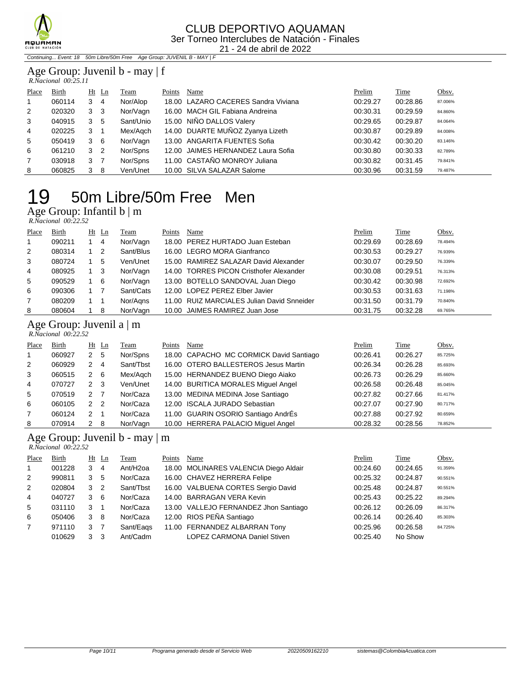

Continuing... Event: 18 50m Libre/50m Free Age Group: JUVENIL B - MAY | F

#### Age Group: Juvenil b - may | f  *R.Nacional 00:25.11*

| Place          | Birth  |   | $Ht$ Ln | Team      | Points | Name                                | Prelim   | Time     | Obsv.   |
|----------------|--------|---|---------|-----------|--------|-------------------------------------|----------|----------|---------|
| $\overline{1}$ | 060114 | 3 | 4       | Nor/Alop  |        | 18.00 LAZARO CACERES Sandra Viviana | 00:29.27 | 00:28.86 | 87.006% |
| 2              | 020320 | 3 | 3       | Nor/Vagn  |        | 16.00 MACH GIL Fabiana Andreina     | 00:30.31 | 00:29.59 | 84.860% |
| 3              | 040915 | 3 | 5       | Sant/Unio |        | 15.00 NIÑO DALLOS Valery            | 00:29.65 | 00:29.87 | 84.064% |
| 4              | 020225 | 3 | -1      | Mex/Agch  |        | 14.00 DUARTE MUÑOZ Zyanya Lizeth    | 00:30.87 | 00:29.89 | 84.008% |
| 5              | 050419 | 3 | - 6     | Nor/Vagn  |        | 13.00 ANGARITA FUENTES Sofia        | 00:30.42 | 00:30.20 | 83.146% |
| 6              | 061210 | 3 | -2      | Nor/Spns  |        | 12.00 JAIMES HERNANDEZ Laura Sofia  | 00:30.80 | 00:30.33 | 82.789% |
| $\overline{7}$ | 030918 | 3 | -7      | Nor/Spns  |        | 11.00 CASTAÑO MONROY Juliana        | 00:30.82 | 00:31.45 | 79.841% |
| 8              | 060825 | 3 | -8      | Ven/Unet  |        | 10.00 SILVA SALAZAR Salome          | 00:30.96 | 00:31.59 | 79.487% |

# 50m Libre/50m Free Men

Age Group: Infantil b | m

 *R.Nacional 00:22.52* 

| Place        | Birth  | $Ht$ Ln | Team      | Points | Name                                       | Prelim   | Time     | Obsv.   |
|--------------|--------|---------|-----------|--------|--------------------------------------------|----------|----------|---------|
| $\mathbf{1}$ | 090211 | 4       | Nor/Vagn  |        | 18.00 PEREZ HURTADO Juan Esteban           | 00:29.69 | 00:28.69 | 78.494% |
| 2            | 080314 | 2       | Sant/Blus |        | 16.00 LEGRO MORA Gianfranco                | 00:30.53 | 00:29.27 | 76.939% |
| 3            | 080724 | 5       | Ven/Unet  |        | 15.00 RAMIREZ SALAZAR David Alexander      | 00:30.07 | 00:29.50 | 76.339% |
| 4            | 080925 | 3       | Nor/Vagn  |        | 14.00 TORRES PICON Cristhofer Alexander    | 00:30.08 | 00:29.51 | 76.313% |
| 5            | 090529 | - 6     | Nor/Vagn  |        | 13.00 BOTELLO SANDOVAL Juan Diego          | 00:30.42 | 00:30.98 | 72.692% |
| 6            | 090306 |         | Sant/Cats |        | 12.00 LOPEZ PEREZ Elber Javier             | 00:30.53 | 00:31.63 | 71.198% |
|              | 080209 |         | Nor/Agns  |        | 11.00 RUIZ MARCIALES Julian David Snneider | 00:31.50 | 00:31.79 | 70.840% |
| 8            | 080604 | -8      | Nor/Vagn  |        | 10.00 JAIMES RAMIREZ Juan Jose             | 00:31.75 | 00:32.28 | 69.765% |

### Age Group: Juvenil a | m

 *R.Nacional 00:22.52* 

| Place          | Birth  | Ht            | $\mathbf{L}$ n | <b>Team</b> | Points | Name                                    | Prelim   | Time     | Obsv.   |
|----------------|--------|---------------|----------------|-------------|--------|-----------------------------------------|----------|----------|---------|
| $\mathbf{1}$   | 060927 | $\mathbf{2}$  | -5             | Nor/Spns    |        | 18.00 CAPACHO MC CORMICK David Santiago | 00:26.41 | 00:26.27 | 85.725% |
| 2              | 060929 | 2             | 4              | Sant/Tbst   |        | 16.00 OTERO BALLESTEROS Jesus Martin    | 00:26.34 | 00:26.28 | 85.693% |
| 3              | 060515 | 2             | -6             | Mex/Agch    |        | 15.00 HERNANDEZ BUENO Diego Aiako       | 00:26.73 | 00:26.29 | 85.660% |
| 4              | 070727 | 2             | -3             | Ven/Unet    |        | 14.00 BURITICA MORALES Miguel Angel     | 00:26.58 | 00:26.48 | 85.045% |
| 5              | 070519 | 2             |                | Nor/Caza    |        | 13.00 MEDINA MEDINA Jose Santiago       | 00:27.82 | 00:27.66 | 81.417% |
| 6              | 060105 | $\mathcal{P}$ | -2             | Nor/Caza    |        | 12.00 ISCALA JURADO Sebastian           | 00:27.07 | 00:27.90 | 80.717% |
| $\overline{7}$ | 060124 | 2             | -1             | Nor/Caza    |        | 11.00 GUARIN OSORIO Santiago AndrÉs     | 00:27.88 | 00:27.92 | 80.659% |
| 8              | 070914 | 2             | -8             | Nor/Vagn    |        | 10.00 HERRERA PALACIO Miguel Angel      | 00:28.32 | 00:28.56 | 78.852% |

### Age Group: Juvenil b - may | m

 *R.Nacional 00:22.52* 

| Place          | Birth  |               | $Ht$ Ln | Team                 | Points | Name                                  | Prelim   | Time     | Obsv.   |
|----------------|--------|---------------|---------|----------------------|--------|---------------------------------------|----------|----------|---------|
| $\mathbf{1}$   | 001228 | 3             | 4       | Ant/H <sub>20a</sub> |        | 18.00 MOLINARES VALENCIA Diego Aldair | 00:24.60 | 00:24.65 | 91.359% |
| 2              | 990811 | 3             | 5       | Nor/Caza             |        | 16.00 CHAVEZ HERRERA Felipe           | 00:25.32 | 00:24.87 | 90.551% |
| 2              | 020804 | 3             | 2       | Sant/Tbst            |        | 16.00 VALBUENA CORTES Sergio David    | 00:25.48 | 00:24.87 | 90.551% |
| $\overline{4}$ | 040727 | 3             | -6      | Nor/Caza             |        | 14.00 BARRAGAN VERA Kevin             | 00:25.43 | 00:25.22 | 89.294% |
| 5              | 031110 | 3             | 1       | Nor/Caza             |        | 13.00 VALLEJO FERNANDEZ Jhon Santiago | 00:26.12 | 00:26.09 | 86.317% |
| 6              | 050406 | 3             | -8      | Nor/Caza             |        | 12.00 RIOS PEÑA Santiago              | 00:26.14 | 00:26.40 | 85.303% |
| $\overline{7}$ | 971110 | 3             |         | Sant/Eags            |        | 11.00 FERNANDEZ ALBARRAN Tony         | 00:25.96 | 00:26.58 | 84.725% |
|                | 010629 | $\mathcal{B}$ | 3       | Ant/Cadm             |        | <b>LOPEZ CARMONA Daniel Stiven</b>    | 00:25.40 | No Show  |         |